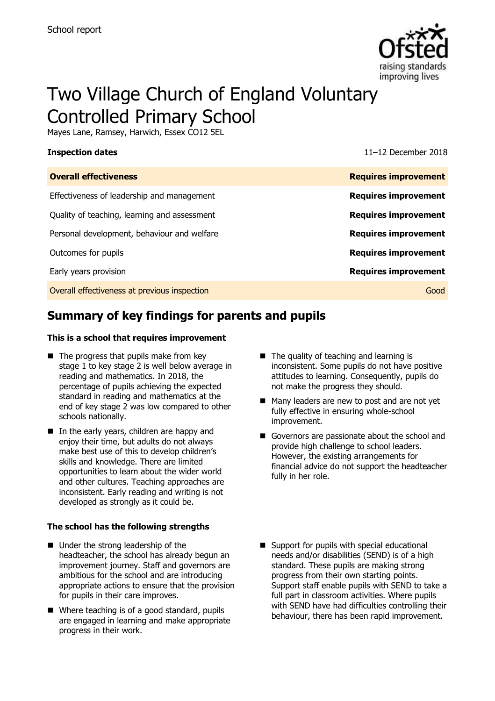

# Two Village Church of England Voluntary Controlled Primary School

Mayes Lane, Ramsey, Harwich, Essex CO12 5EL

**Inspection dates** 11–12 December 2018

| <b>Overall effectiveness</b>                 | <b>Requires improvement</b> |
|----------------------------------------------|-----------------------------|
| Effectiveness of leadership and management   | <b>Requires improvement</b> |
| Quality of teaching, learning and assessment | <b>Requires improvement</b> |
| Personal development, behaviour and welfare  | <b>Requires improvement</b> |
| Outcomes for pupils                          | <b>Requires improvement</b> |
| Early years provision                        | <b>Requires improvement</b> |
| Overall effectiveness at previous inspection | Good                        |

# **Summary of key findings for parents and pupils**

#### **This is a school that requires improvement**

- $\blacksquare$  The progress that pupils make from key stage 1 to key stage 2 is well below average in reading and mathematics. In 2018, the percentage of pupils achieving the expected standard in reading and mathematics at the end of key stage 2 was low compared to other schools nationally.
- In the early years, children are happy and enjoy their time, but adults do not always make best use of this to develop children's skills and knowledge. There are limited opportunities to learn about the wider world and other cultures. Teaching approaches are inconsistent. Early reading and writing is not developed as strongly as it could be.

#### **The school has the following strengths**

- Under the strong leadership of the headteacher, the school has already begun an improvement journey. Staff and governors are ambitious for the school and are introducing appropriate actions to ensure that the provision for pupils in their care improves.
- Where teaching is of a good standard, pupils are engaged in learning and make appropriate progress in their work.
- The quality of teaching and learning is inconsistent. Some pupils do not have positive attitudes to learning. Consequently, pupils do not make the progress they should.
- Many leaders are new to post and are not yet fully effective in ensuring whole-school improvement.
- Governors are passionate about the school and provide high challenge to school leaders. However, the existing arrangements for financial advice do not support the headteacher fully in her role.
- Support for pupils with special educational needs and/or disabilities (SEND) is of a high standard. These pupils are making strong progress from their own starting points. Support staff enable pupils with SEND to take a full part in classroom activities. Where pupils with SEND have had difficulties controlling their behaviour, there has been rapid improvement.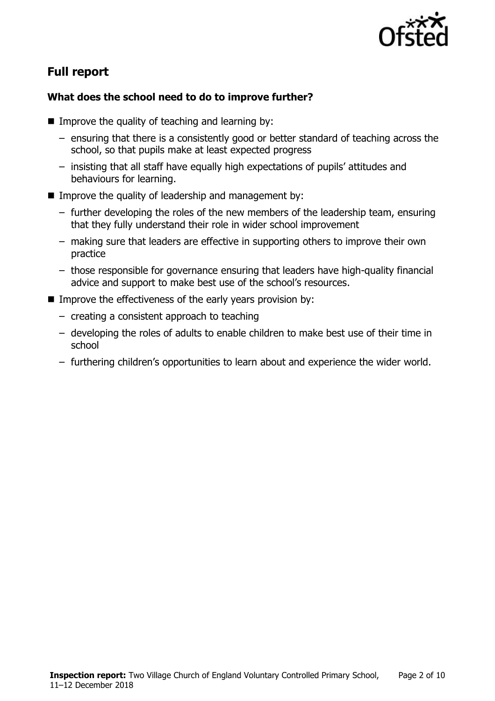

# **Full report**

### **What does the school need to do to improve further?**

- Improve the quality of teaching and learning by:
	- ensuring that there is a consistently good or better standard of teaching across the school, so that pupils make at least expected progress
	- insisting that all staff have equally high expectations of pupils' attitudes and behaviours for learning.
- Improve the quality of leadership and management by:
	- further developing the roles of the new members of the leadership team, ensuring that they fully understand their role in wider school improvement
	- making sure that leaders are effective in supporting others to improve their own practice
	- those responsible for governance ensuring that leaders have high-quality financial advice and support to make best use of the school's resources.
- Improve the effectiveness of the early years provision by:
	- creating a consistent approach to teaching
	- developing the roles of adults to enable children to make best use of their time in school
	- furthering children's opportunities to learn about and experience the wider world.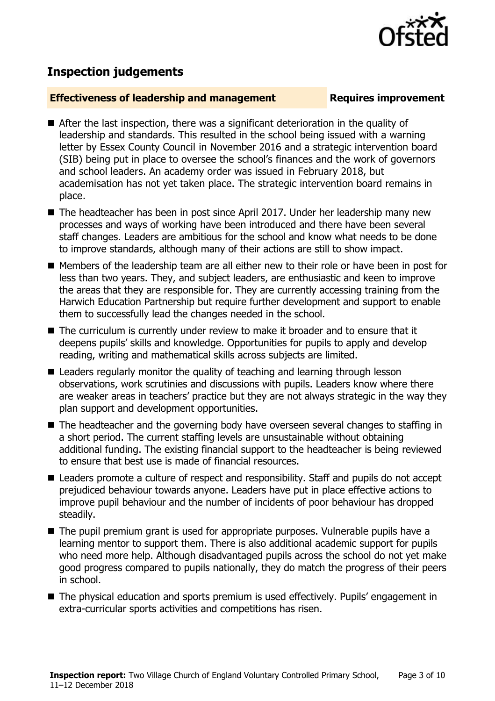

## **Inspection judgements**

#### **Effectiveness of leadership and management Requires improvement**

- After the last inspection, there was a significant deterioration in the quality of leadership and standards. This resulted in the school being issued with a warning letter by Essex County Council in November 2016 and a strategic intervention board (SIB) being put in place to oversee the school's finances and the work of governors and school leaders. An academy order was issued in February 2018, but academisation has not yet taken place. The strategic intervention board remains in place.
- The headteacher has been in post since April 2017. Under her leadership many new processes and ways of working have been introduced and there have been several staff changes. Leaders are ambitious for the school and know what needs to be done to improve standards, although many of their actions are still to show impact.
- Members of the leadership team are all either new to their role or have been in post for less than two years. They, and subject leaders, are enthusiastic and keen to improve the areas that they are responsible for. They are currently accessing training from the Harwich Education Partnership but require further development and support to enable them to successfully lead the changes needed in the school.
- The curriculum is currently under review to make it broader and to ensure that it deepens pupils' skills and knowledge. Opportunities for pupils to apply and develop reading, writing and mathematical skills across subjects are limited.
- Leaders regularly monitor the quality of teaching and learning through lesson observations, work scrutinies and discussions with pupils. Leaders know where there are weaker areas in teachers' practice but they are not always strategic in the way they plan support and development opportunities.
- The headteacher and the governing body have overseen several changes to staffing in a short period. The current staffing levels are unsustainable without obtaining additional funding. The existing financial support to the headteacher is being reviewed to ensure that best use is made of financial resources.
- Leaders promote a culture of respect and responsibility. Staff and pupils do not accept prejudiced behaviour towards anyone. Leaders have put in place effective actions to improve pupil behaviour and the number of incidents of poor behaviour has dropped steadily.
- The pupil premium grant is used for appropriate purposes. Vulnerable pupils have a learning mentor to support them. There is also additional academic support for pupils who need more help. Although disadvantaged pupils across the school do not yet make good progress compared to pupils nationally, they do match the progress of their peers in school.
- The physical education and sports premium is used effectively. Pupils' engagement in extra-curricular sports activities and competitions has risen.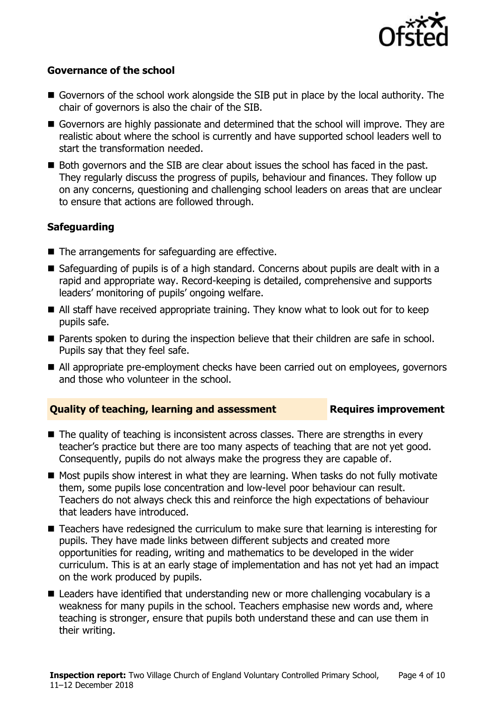

#### **Governance of the school**

- Governors of the school work alongside the SIB put in place by the local authority. The chair of governors is also the chair of the SIB.
- Governors are highly passionate and determined that the school will improve. They are realistic about where the school is currently and have supported school leaders well to start the transformation needed.
- Both governors and the SIB are clear about issues the school has faced in the past. They regularly discuss the progress of pupils, behaviour and finances. They follow up on any concerns, questioning and challenging school leaders on areas that are unclear to ensure that actions are followed through.

### **Safeguarding**

- $\blacksquare$  The arrangements for safeguarding are effective.
- Safeguarding of pupils is of a high standard. Concerns about pupils are dealt with in a rapid and appropriate way. Record-keeping is detailed, comprehensive and supports leaders' monitoring of pupils' ongoing welfare.
- All staff have received appropriate training. They know what to look out for to keep pupils safe.
- **Parents spoken to during the inspection believe that their children are safe in school.** Pupils say that they feel safe.
- All appropriate pre-employment checks have been carried out on employees, governors and those who volunteer in the school.

#### **Quality of teaching, learning and assessment Requires improvement**

- The quality of teaching is inconsistent across classes. There are strengths in every teacher's practice but there are too many aspects of teaching that are not yet good. Consequently, pupils do not always make the progress they are capable of.
- $\blacksquare$  Most pupils show interest in what they are learning. When tasks do not fully motivate them, some pupils lose concentration and low-level poor behaviour can result. Teachers do not always check this and reinforce the high expectations of behaviour that leaders have introduced.
- Teachers have redesigned the curriculum to make sure that learning is interesting for pupils. They have made links between different subjects and created more opportunities for reading, writing and mathematics to be developed in the wider curriculum. This is at an early stage of implementation and has not yet had an impact on the work produced by pupils.
- Leaders have identified that understanding new or more challenging vocabulary is a weakness for many pupils in the school. Teachers emphasise new words and, where teaching is stronger, ensure that pupils both understand these and can use them in their writing.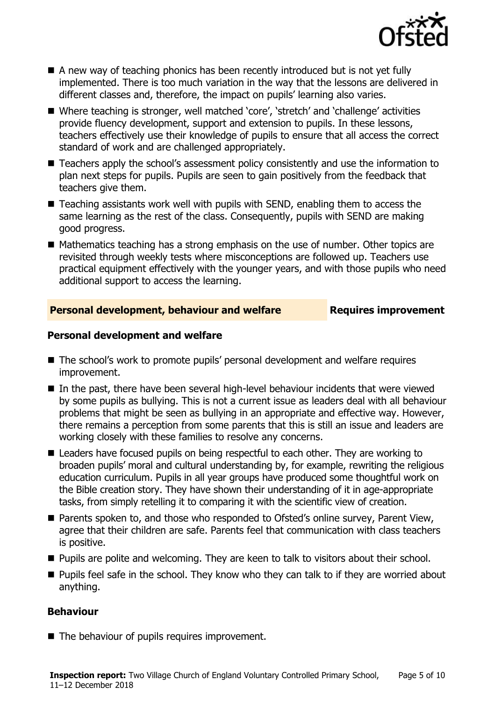

- A new way of teaching phonics has been recently introduced but is not yet fully implemented. There is too much variation in the way that the lessons are delivered in different classes and, therefore, the impact on pupils' learning also varies.
- Where teaching is stronger, well matched 'core', 'stretch' and 'challenge' activities provide fluency development, support and extension to pupils. In these lessons, teachers effectively use their knowledge of pupils to ensure that all access the correct standard of work and are challenged appropriately.
- Teachers apply the school's assessment policy consistently and use the information to plan next steps for pupils. Pupils are seen to gain positively from the feedback that teachers give them.
- $\blacksquare$  Teaching assistants work well with pupils with SEND, enabling them to access the same learning as the rest of the class. Consequently, pupils with SEND are making good progress.
- Mathematics teaching has a strong emphasis on the use of number. Other topics are revisited through weekly tests where misconceptions are followed up. Teachers use practical equipment effectively with the younger years, and with those pupils who need additional support to access the learning.

### **Personal development, behaviour and welfare Fig. 2.1 Requires improvement**

### **Personal development and welfare**

- The school's work to promote pupils' personal development and welfare requires improvement.
- In the past, there have been several high-level behaviour incidents that were viewed by some pupils as bullying. This is not a current issue as leaders deal with all behaviour problems that might be seen as bullying in an appropriate and effective way. However, there remains a perception from some parents that this is still an issue and leaders are working closely with these families to resolve any concerns.
- Leaders have focused pupils on being respectful to each other. They are working to broaden pupils' moral and cultural understanding by, for example, rewriting the religious education curriculum. Pupils in all year groups have produced some thoughtful work on the Bible creation story. They have shown their understanding of it in age-appropriate tasks, from simply retelling it to comparing it with the scientific view of creation.
- Parents spoken to, and those who responded to Ofsted's online survey, Parent View, agree that their children are safe. Parents feel that communication with class teachers is positive.
- **Pupils are polite and welcoming. They are keen to talk to visitors about their school.**
- **Pupils feel safe in the school. They know who they can talk to if they are worried about** anything.

### **Behaviour**

■ The behaviour of pupils requires improvement.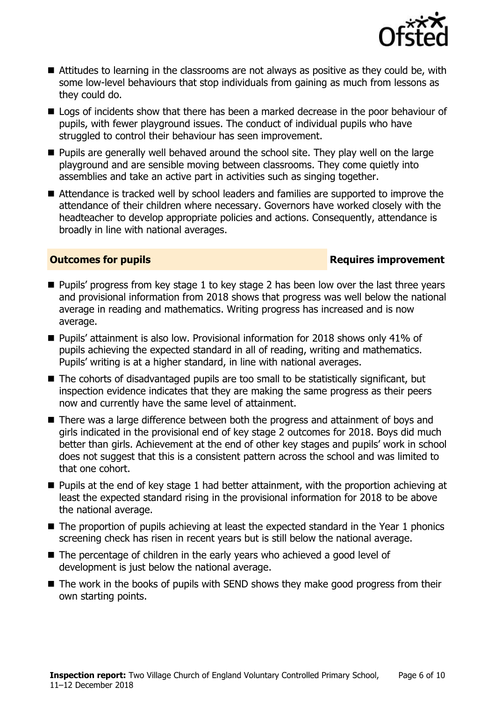

- Attitudes to learning in the classrooms are not always as positive as they could be, with some low-level behaviours that stop individuals from gaining as much from lessons as they could do.
- Logs of incidents show that there has been a marked decrease in the poor behaviour of pupils, with fewer playground issues. The conduct of individual pupils who have struggled to control their behaviour has seen improvement.
- **Pupils are generally well behaved around the school site. They play well on the large** playground and are sensible moving between classrooms. They come quietly into assemblies and take an active part in activities such as singing together.
- Attendance is tracked well by school leaders and families are supported to improve the attendance of their children where necessary. Governors have worked closely with the headteacher to develop appropriate policies and actions. Consequently, attendance is broadly in line with national averages.

#### **Outcomes for pupils Requires improvement**

- **Pupils' progress from key stage 1 to key stage 2 has been low over the last three years** and provisional information from 2018 shows that progress was well below the national average in reading and mathematics. Writing progress has increased and is now average.
- Pupils' attainment is also low. Provisional information for 2018 shows only 41% of pupils achieving the expected standard in all of reading, writing and mathematics. Pupils' writing is at a higher standard, in line with national averages.
- The cohorts of disadvantaged pupils are too small to be statistically significant, but inspection evidence indicates that they are making the same progress as their peers now and currently have the same level of attainment.
- There was a large difference between both the progress and attainment of boys and girls indicated in the provisional end of key stage 2 outcomes for 2018. Boys did much better than girls. Achievement at the end of other key stages and pupils' work in school does not suggest that this is a consistent pattern across the school and was limited to that one cohort.
- **Pupils at the end of key stage 1 had better attainment, with the proportion achieving at Pupils** least the expected standard rising in the provisional information for 2018 to be above the national average.
- The proportion of pupils achieving at least the expected standard in the Year 1 phonics screening check has risen in recent years but is still below the national average.
- The percentage of children in the early years who achieved a good level of development is just below the national average.
- The work in the books of pupils with SEND shows they make good progress from their own starting points.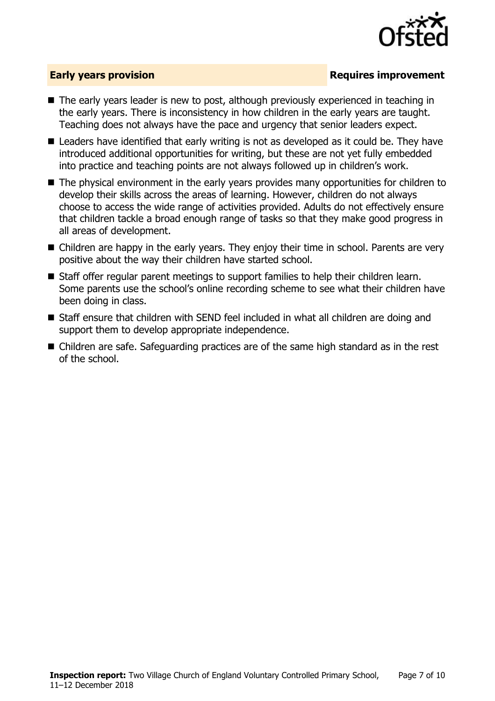

### **Early years provision**

- The early years leader is new to post, although previously experienced in teaching in the early years. There is inconsistency in how children in the early years are taught. Teaching does not always have the pace and urgency that senior leaders expect.
- Leaders have identified that early writing is not as developed as it could be. They have introduced additional opportunities for writing, but these are not yet fully embedded into practice and teaching points are not always followed up in children's work.
- The physical environment in the early years provides many opportunities for children to develop their skills across the areas of learning. However, children do not always choose to access the wide range of activities provided. Adults do not effectively ensure that children tackle a broad enough range of tasks so that they make good progress in all areas of development.
- Children are happy in the early years. They enjoy their time in school. Parents are very positive about the way their children have started school.
- Staff offer regular parent meetings to support families to help their children learn. Some parents use the school's online recording scheme to see what their children have been doing in class.
- Staff ensure that children with SEND feel included in what all children are doing and support them to develop appropriate independence.
- Children are safe. Safeguarding practices are of the same high standard as in the rest of the school.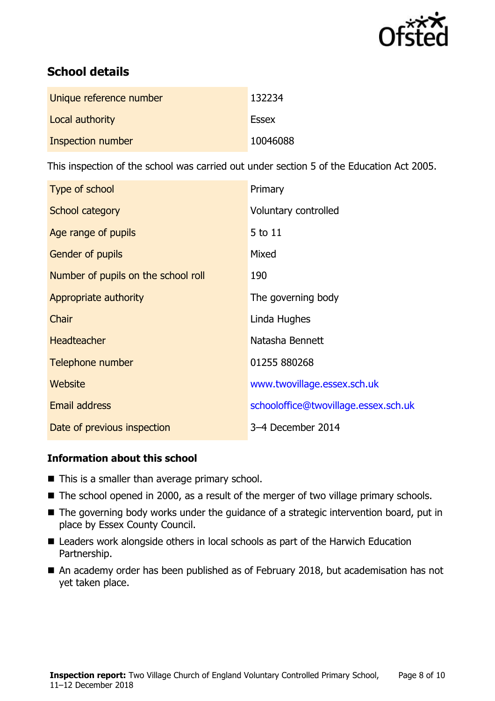

# **School details**

| Unique reference number | 132234       |
|-------------------------|--------------|
| Local authority         | <b>Essex</b> |
| Inspection number       | 10046088     |

This inspection of the school was carried out under section 5 of the Education Act 2005.

| Type of school                      | Primary                              |
|-------------------------------------|--------------------------------------|
| School category                     | Voluntary controlled                 |
| Age range of pupils                 | 5 to 11                              |
| Gender of pupils                    | Mixed                                |
| Number of pupils on the school roll | 190                                  |
| Appropriate authority               | The governing body                   |
| Chair                               | Linda Hughes                         |
| <b>Headteacher</b>                  | Natasha Bennett                      |
| Telephone number                    | 01255 880268                         |
| <b>Website</b>                      | www.twovillage.essex.sch.uk          |
| <b>Email address</b>                | schooloffice@twovillage.essex.sch.uk |
| Date of previous inspection         | 3-4 December 2014                    |

### **Information about this school**

- $\blacksquare$  This is a smaller than average primary school.
- The school opened in 2000, as a result of the merger of two village primary schools.
- The governing body works under the guidance of a strategic intervention board, put in place by Essex County Council.
- Leaders work alongside others in local schools as part of the Harwich Education Partnership.
- An academy order has been published as of February 2018, but academisation has not yet taken place.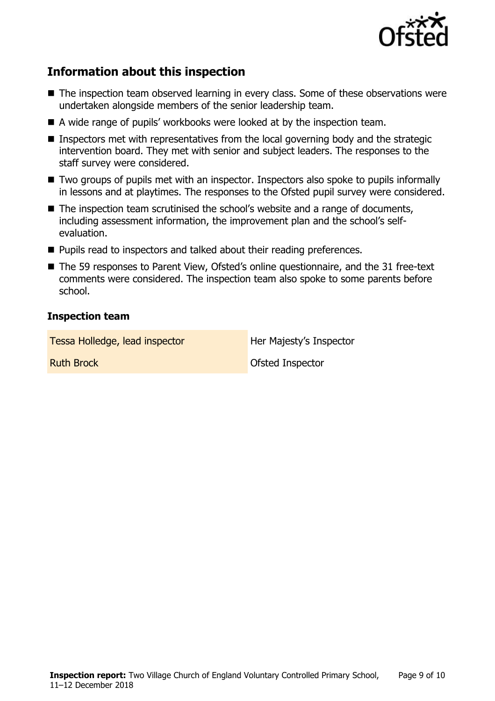

# **Information about this inspection**

- The inspection team observed learning in every class. Some of these observations were undertaken alongside members of the senior leadership team.
- A wide range of pupils' workbooks were looked at by the inspection team.
- **Inspectors met with representatives from the local governing body and the strategic** intervention board. They met with senior and subject leaders. The responses to the staff survey were considered.
- Two groups of pupils met with an inspector. Inspectors also spoke to pupils informally in lessons and at playtimes. The responses to the Ofsted pupil survey were considered.
- The inspection team scrutinised the school's website and a range of documents, including assessment information, the improvement plan and the school's selfevaluation.
- **Pupils read to inspectors and talked about their reading preferences.**
- The 59 responses to Parent View, Ofsted's online questionnaire, and the 31 free-text comments were considered. The inspection team also spoke to some parents before school.

#### **Inspection team**

| Tessa Holledge, lead inspector | Her Majesty's Inspector |
|--------------------------------|-------------------------|
| <b>Ruth Brock</b>              | Ofsted Inspector        |